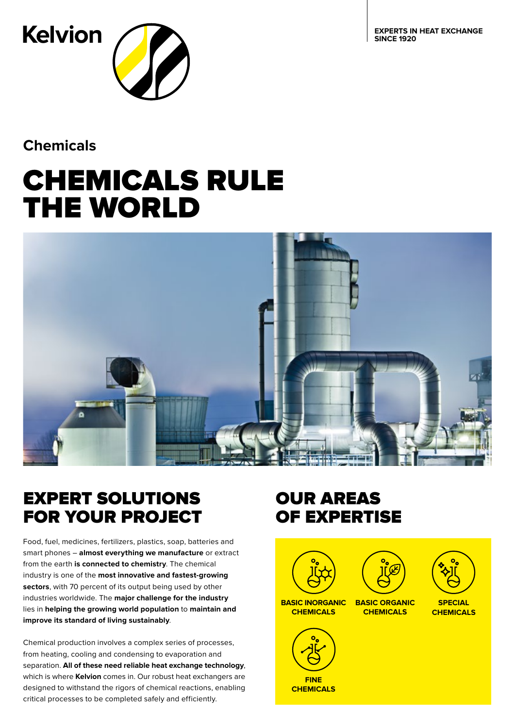**EXPERTS IN HEAT EXCHANGE SINCE 1920**



### **Chemicals**

# CHEMICALS RULE THE WORLD



### EXPERT SOLUTIONS FOR YOUR PROJECT

Food, fuel, medicines, fertilizers, plastics, soap, batteries and smart phones – **almost everything we manufacture** or extract from the earth **is connected to chemistry**. The chemical industry is one of the **most innovative and fastest-growing sectors**, with 70 percent of its output being used by other industries worldwide. The **major challenge for the industry** lies in **helping the growing world population** to **maintain and improve its standard of living sustainably**.

Chemical production involves a complex series of processes, from heating, cooling and condensing to evaporation and separation. **All of these need reliable heat exchange technology**, which is where **Kelvion** comes in. Our robust heat exchangers are designed to withstand the rigors of chemical reactions, enabling critical processes to be completed safely and efficiently.

### OUR AREAS OF EXPERTISE